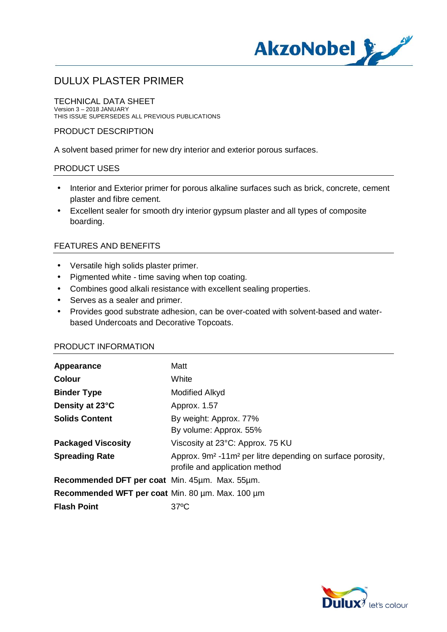

TECHNICAL DATA SHEET Version 3 – 2018 JANUARY THIS ISSUE SUPERSEDES ALL PREVIOUS PUBLICATIONS

#### PRODUCT DESCRIPTION

A solvent based primer for new dry interior and exterior porous surfaces.

#### PRODUCT USES

- Interior and Exterior primer for porous alkaline surfaces such as brick, concrete, cement t. plaster and fibre cement.
- Excellent sealer for smooth dry interior gypsum plaster and all types of composite boarding.

#### FEATURES AND BENEFITS

- Versatile high solids plaster primer.
- Pigmented white time saving when top coating.
- Combines good alkali resistance with excellent sealing properties.
- Serves as a sealer and primer.
- Provides good substrate adhesion, can be over-coated with solvent-based and waterbased Undercoats and Decorative Topcoats.

#### PRODUCT INFORMATION

| Appearance                                       | Matt                                                                                                                 |
|--------------------------------------------------|----------------------------------------------------------------------------------------------------------------------|
| <b>Colour</b>                                    | White                                                                                                                |
| <b>Binder Type</b>                               | Modified Alkyd                                                                                                       |
| Density at 23°C                                  | Approx. 1.57                                                                                                         |
| <b>Solids Content</b>                            | By weight: Approx. 77%<br>By volume: Approx. 55%                                                                     |
| <b>Packaged Viscosity</b>                        | Viscosity at 23°C: Approx. 75 KU                                                                                     |
| <b>Spreading Rate</b>                            | Approx. 9m <sup>2</sup> -11m <sup>2</sup> per litre depending on surface porosity,<br>profile and application method |
| Recommended DFT per coat Min. 45um. Max. 55um.   |                                                                                                                      |
| Recommended WFT per coat Min. 80 um. Max. 100 um |                                                                                                                      |
| <b>Flash Point</b>                               | $37^{\circ}$ C                                                                                                       |

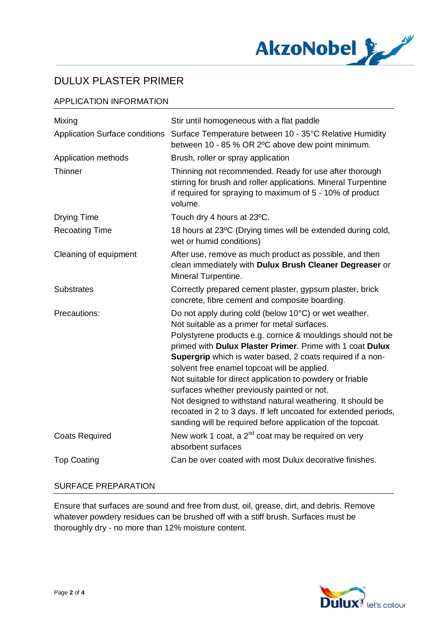

## APPLICATION INFORMATION

| Mixing                                | Stir until homogeneous with a flat paddle                                                                                                                                                                                                                                                                                                                                                                                                                                                                                                                                                                                                                   |
|---------------------------------------|-------------------------------------------------------------------------------------------------------------------------------------------------------------------------------------------------------------------------------------------------------------------------------------------------------------------------------------------------------------------------------------------------------------------------------------------------------------------------------------------------------------------------------------------------------------------------------------------------------------------------------------------------------------|
| <b>Application Surface conditions</b> | Surface Temperature between 10 - 35°C Relative Humidity<br>between 10 - 85 % OR 2°C above dew point minimum.                                                                                                                                                                                                                                                                                                                                                                                                                                                                                                                                                |
| Application methods                   | Brush, roller or spray application                                                                                                                                                                                                                                                                                                                                                                                                                                                                                                                                                                                                                          |
| Thinner                               | Thinning not recommended. Ready for use after thorough<br>stirring for brush and roller applications. Mineral Turpentine<br>if required for spraying to maximum of 5 - 10% of product<br>volume.                                                                                                                                                                                                                                                                                                                                                                                                                                                            |
| <b>Drying Time</b>                    | Touch dry 4 hours at 23°C.                                                                                                                                                                                                                                                                                                                                                                                                                                                                                                                                                                                                                                  |
| <b>Recoating Time</b>                 | 18 hours at 23°C (Drying times will be extended during cold,<br>wet or humid conditions)                                                                                                                                                                                                                                                                                                                                                                                                                                                                                                                                                                    |
| Cleaning of equipment                 | After use, remove as much product as possible, and then<br>clean immediately with Dulux Brush Cleaner Degreaser or<br>Mineral Turpentine.                                                                                                                                                                                                                                                                                                                                                                                                                                                                                                                   |
| <b>Substrates</b>                     | Correctly prepared cement plaster, gypsum plaster, brick<br>concrete, fibre cement and composite boarding.                                                                                                                                                                                                                                                                                                                                                                                                                                                                                                                                                  |
| Precautions:                          | Do not apply during cold (below 10°C) or wet weather.<br>Not suitable as a primer for metal surfaces.<br>Polystyrene products e.g. cornice & mouldings should not be<br>primed with Dulux Plaster Primer. Prime with 1 coat Dulux<br>Supergrip which is water based, 2 coats required if a non-<br>solvent free enamel topcoat will be applied.<br>Not suitable for direct application to powdery or friable<br>surfaces whether previously painted or not.<br>Not designed to withstand natural weathering. It should be<br>recoated in 2 to 3 days. If left uncoated for extended periods,<br>sanding will be required before application of the topcoat. |
| <b>Coats Required</b>                 | New work 1 coat, a 2 <sup>nd</sup> coat may be required on very<br>absorbent surfaces                                                                                                                                                                                                                                                                                                                                                                                                                                                                                                                                                                       |
| <b>Top Coating</b>                    | Can be over coated with most Dulux decorative finishes.                                                                                                                                                                                                                                                                                                                                                                                                                                                                                                                                                                                                     |

## SURFACE PREPARATION

Ensure that surfaces are sound and free from dust, oil, grease, dirt, and debris. Remove whatever powdery residues can be brushed off with a stiff brush. Surfaces must be thoroughly dry - no more than 12% moisture content.

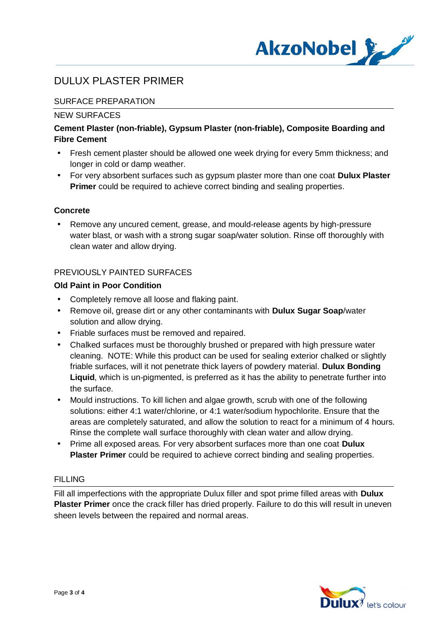

## SURFACE PREPARATION

### NEW SURFACES

## **Cement Plaster (non-friable), Gypsum Plaster (non-friable), Composite Boarding and Fibre Cement**

- Fresh cement plaster should be allowed one week drying for every 5mm thickness; and longer in cold or damp weather.
- For very absorbent surfaces such as gypsum plaster more than one coat **Dulux Plaster** t. **Primer** could be required to achieve correct binding and sealing properties.

### **Concrete**

 Remove any uncured cement, grease, and mould-release agents by high-pressure water blast, or wash with a strong sugar soap/water solution. Rinse off thoroughly with clean water and allow drying.

### PREVIOUSLY PAINTED SURFACES

### **Old Paint in Poor Condition**

- Completely remove all loose and flaking paint.
- Remove oil, grease dirt or any other contaminants with **Dulux Sugar Soap**/water solution and allow drying.
- Friable surfaces must be removed and repaired.
- Chalked surfaces must be thoroughly brushed or prepared with high pressure water cleaning. NOTE: While this product can be used for sealing exterior chalked or slightly friable surfaces, will it not penetrate thick layers of powdery material. **Dulux Bonding Liquid**, which is un-pigmented, is preferred as it has the ability to penetrate further into the surface.
- l, Mould instructions. To kill lichen and algae growth, scrub with one of the following solutions: either 4:1 water/chlorine, or 4:1 water/sodium hypochlorite. Ensure that the areas are completely saturated, and allow the solution to react for a minimum of 4 hours. Rinse the complete wall surface thoroughly with clean water and allow drying.
- Prime all exposed areas. For very absorbent surfaces more than one coat **Dulux** t. **Plaster Primer** could be required to achieve correct binding and sealing properties.

#### FILLING

Fill all imperfections with the appropriate Dulux filler and spot prime filled areas with **Dulux Plaster Primer** once the crack filler has dried properly. Failure to do this will result in uneven sheen levels between the repaired and normal areas.